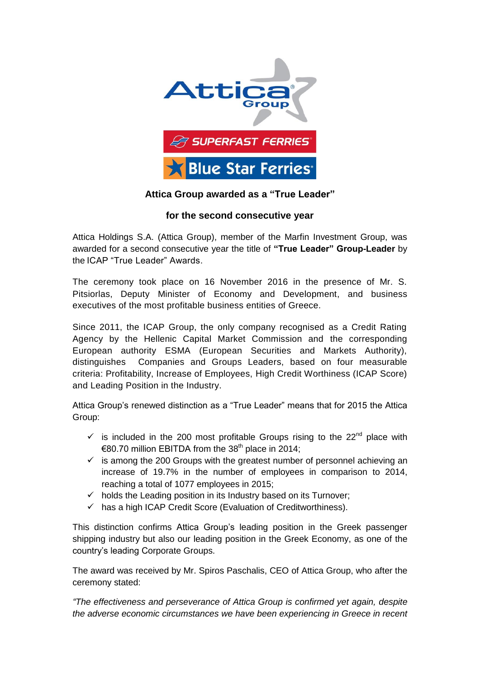

## **Attica Group awarded as a "True Leader"**

## **for the second consecutive year**

Attica Holdings S.A. (Attica Group), member of the Marfin Investment Group, was awarded for a second consecutive year the title of **"True Leader" Group-Leader** by the ICAP "True Leader" Awards.

The ceremony took place on 16 November 2016 in the presence of Mr. S. Pitsiorlas, Deputy Minister of Economy and Development, and business executives of the most profitable business entities of Greece.

Since 2011, the ICAP Group, the only company recognised as a Credit Rating Agency by the Hellenic Capital Market Commission and the corresponding European authority ESMA (European Securities and Markets Authority), distinguishes Companies and Groups Leaders, based on four measurable criteria: Profitability, Increase of Employees, Ηigh Credit Worthiness (ICAP Score) and Leading Position in the Industry.

Attica Group's renewed distinction as a "True Leader" means that for 2015 the Attica Group:

- $\checkmark$  is included in the 200 most profitable Groups rising to the 22<sup>nd</sup> place with €80.70 million EBITDA from the 38<sup>th</sup> place in 2014:
- $\checkmark$  is among the 200 Groups with the greatest number of personnel achieving an increase of 19.7% in the number of employees in comparison to 2014, reaching a total of 1077 employees in 2015;
- $\checkmark$  holds the Leading position in its Industry based on its Turnover;
- $\checkmark$  has a high ICAP Credit Score (Evaluation of Creditworthiness).

This distinction confirms Attica Group's leading position in the Greek passenger shipping industry but also our leading position in the Greek Economy, as one of the country's leading Corporate Groups.

The award was received by Mr. Spiros Paschalis, CEO of Attica Group, who after the ceremony stated:

*"The effectiveness and perseverance of Attica Group is confirmed yet again, despite the adverse economic circumstances we have been experiencing in Greece in recent*